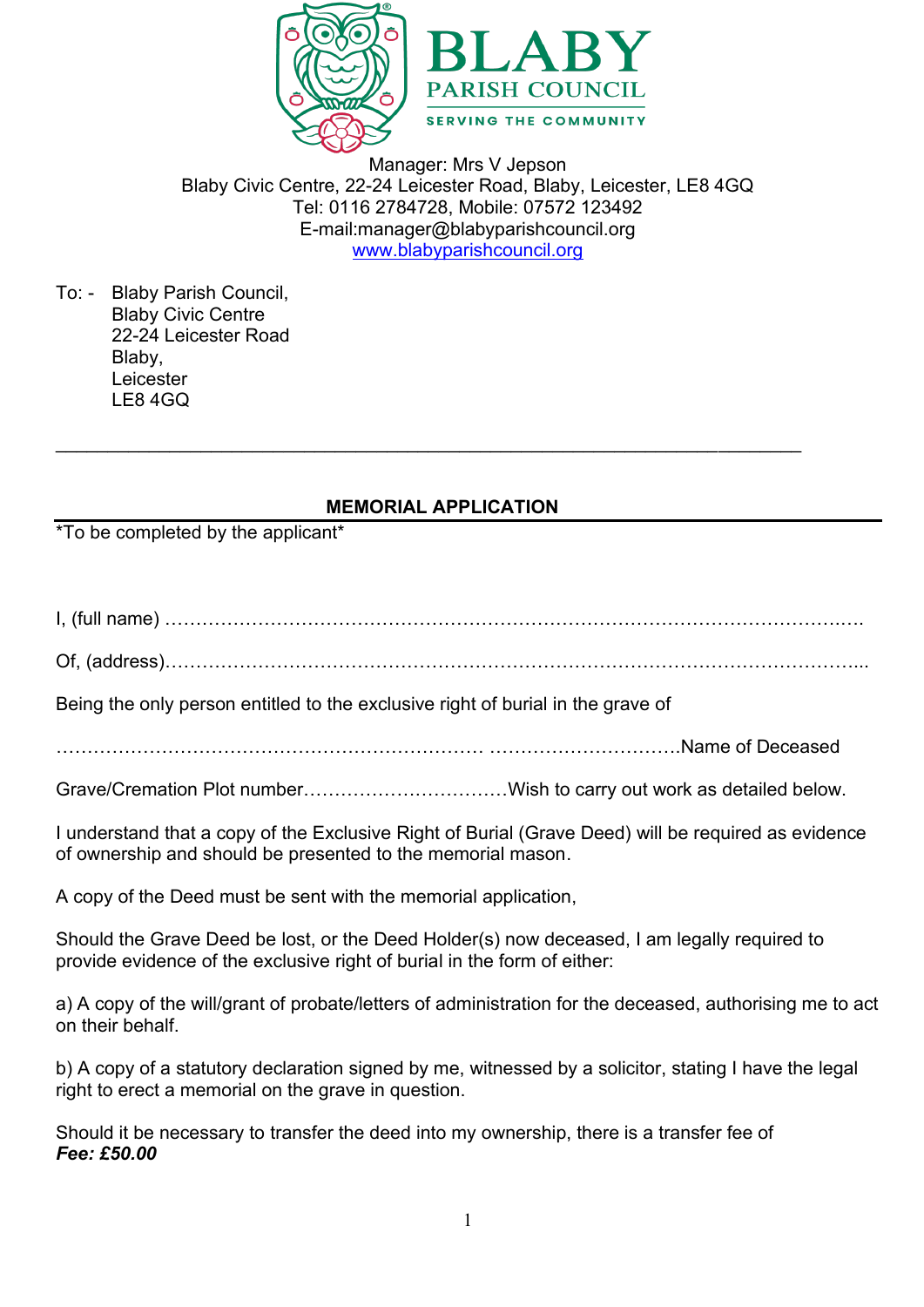

Manager: Mrs V Jepson Blaby Civic Centre, 22-24 Leicester Road, Blaby, Leicester, LE8 4GQ Tel: 0116 2784728, Mobile: 07572 123492 E-mail:manager@blabyparishcouncil.org [www.blabyparishcouncil.org](http://www.blabyparishcouncil.org/)

To: - Blaby Parish Council, Blaby Civic Centre 22-24 Leicester Road Blaby, Leicester LE8 4GQ

## **MEMORIAL APPLICATION**

 $\_$  , and the contribution of the contribution of  $\mathcal{L}_\mathcal{A}$  , and the contribution of  $\mathcal{L}_\mathcal{A}$ 

\*To be completed by the applicant\*

I, (full name) ……………………………………………………………………………………………….….

Of, (address)…………………………………………………………………………………………………...

Being the only person entitled to the exclusive right of burial in the grave of

…………………………………………………………… ………………………….Name of Deceased

Grave/Cremation Plot number……………………………Wish to carry out work as detailed below.

I understand that a copy of the Exclusive Right of Burial (Grave Deed) will be required as evidence of ownership and should be presented to the memorial mason.

A copy of the Deed must be sent with the memorial application,

Should the Grave Deed be lost, or the Deed Holder(s) now deceased, I am legally required to provide evidence of the exclusive right of burial in the form of either:

a) A copy of the will/grant of probate/letters of administration for the deceased, authorising me to act on their behalf.

b) A copy of a statutory declaration signed by me, witnessed by a solicitor, stating I have the legal right to erect a memorial on the grave in question.

Should it be necessary to transfer the deed into my ownership, there is a transfer fee of *Fee: £50.00*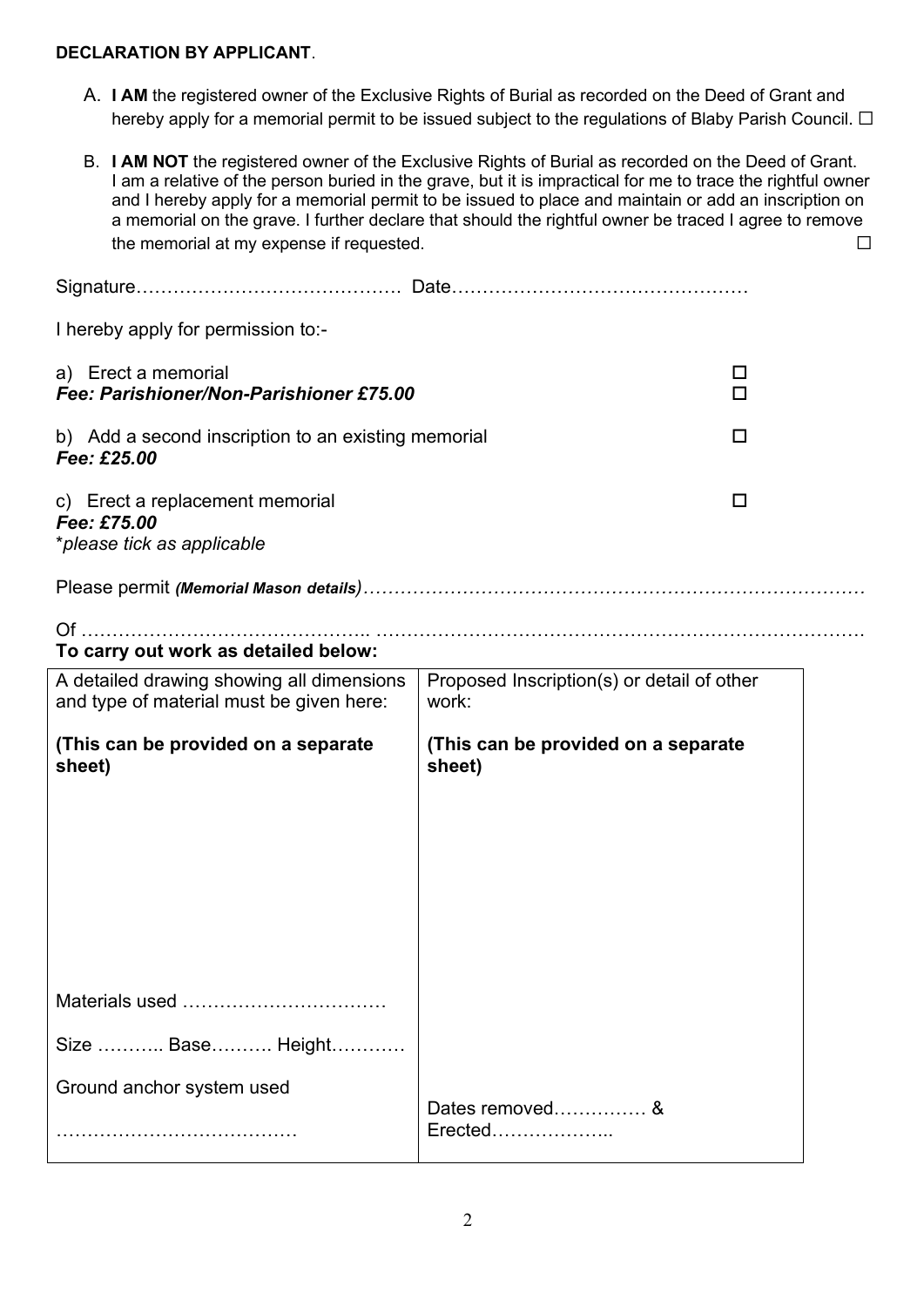## **DECLARATION BY APPLICANT**.

- A. **I AM** the registered owner of the Exclusive Rights of Burial as recorded on the Deed of Grant and hereby apply for a memorial permit to be issued subject to the regulations of Blaby Parish Council. □
- B. **I AM NOT** the registered owner of the Exclusive Rights of Burial as recorded on the Deed of Grant. I am a relative of the person buried in the grave, but it is impractical for me to trace the rightful owner and I hereby apply for a memorial permit to be issued to place and maintain or add an inscription on a memorial on the grave. I further declare that should the rightful owner be traced I agree to remove the memorial at my expense if requested. ◯  $□$

| I hereby apply for permission to:-                                           |                                                     |        |
|------------------------------------------------------------------------------|-----------------------------------------------------|--------|
| a) Erect a memorial<br>Fee: Parishioner/Non-Parishioner £75.00               |                                                     | □<br>п |
| b) Add a second inscription to an existing memorial<br>Fee: £25.00           |                                                     | □      |
| c) Erect a replacement memorial<br>Fee: £75.00<br>*please tick as applicable |                                                     | □      |
|                                                                              |                                                     |        |
| To carry out work as detailed below:                                         |                                                     |        |
| A detailed drawing showing all dimensions                                    | Proposed Inscription(s) or detail of other<br>work: |        |
| and type of material must be given here:                                     |                                                     |        |
| (This can be provided on a separate<br>sheet)                                | (This can be provided on a separate<br>sheet)       |        |
|                                                                              |                                                     |        |
|                                                                              |                                                     |        |
|                                                                              |                                                     |        |
| Materials used                                                               |                                                     |        |
| Size  Base Height                                                            |                                                     |        |
| Ground anchor system used                                                    | Dates removed&                                      |        |